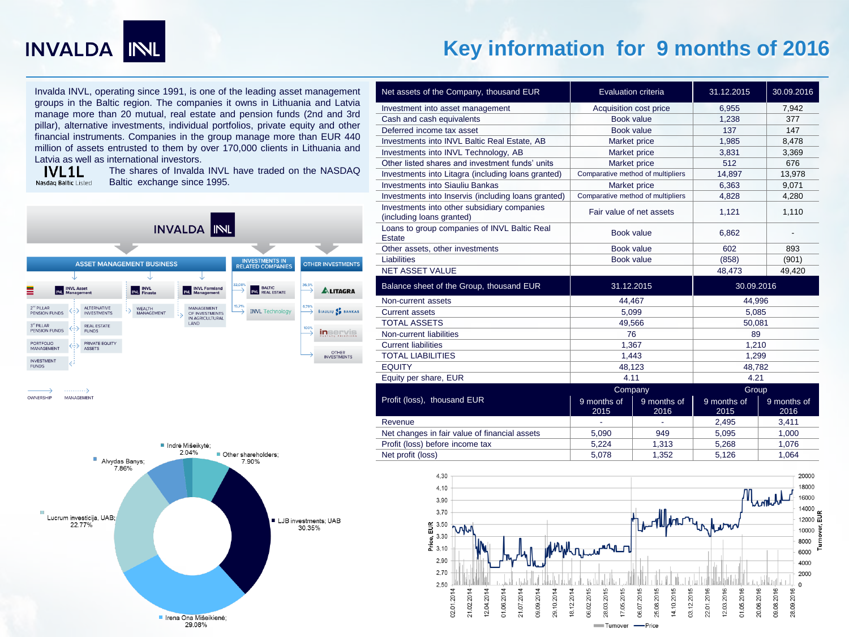

# **Key information for 9 months of 2016**

Invalda INVL, operating since 1991, is one of the leading asset management groups in the Baltic region. The companies it owns in Lithuania and Latvia manage more than 20 mutual, real estate and pension funds (2nd and 3rd pillar), alternative investments, individual portfolios, private equity and other financial instruments. Companies in the group manage more than EUR 440 million of assets entrusted to them by over 170,000 clients in Lithuania and Latvia as well as international investors.

**IVL1L** Nasdag Baltic Listed

The shares of Invalda INVL have traded on the NASDAQ Baltic exchange since 1995.



OWNERSHIP MANAGEMENT



| Net assets of the Company, thousand EUR                                  | Evaluation criteria               |                     | 31.12.2015          | 30.09.2016          |  |
|--------------------------------------------------------------------------|-----------------------------------|---------------------|---------------------|---------------------|--|
| Investment into asset management                                         | Acquisition cost price            |                     | 6,955               | 7,942               |  |
| Cash and cash equivalents                                                | Book value                        |                     | 1,238               | 377                 |  |
| Deferred income tax asset                                                | Book value                        |                     | 137                 | 147                 |  |
| Investments into INVL Baltic Real Estate, AB                             | Market price                      |                     | 1,985               | 8,478               |  |
| Investments into INVL Technology, AB                                     | Market price                      |                     | 3,831               | 3,369               |  |
| Other listed shares and investment funds' units                          | Market price                      |                     | 512                 | 676                 |  |
| Investments into Litagra (including loans granted)                       | Comparative method of multipliers |                     | 14,897              | 13,978              |  |
| <b>Investments into Siauliu Bankas</b>                                   | Market price                      |                     | 6,363               | 9,071               |  |
| Investments into Inservis (including loans granted)                      | Comparative method of multipliers |                     | 4.828               | 4.280               |  |
| Investments into other subsidiary companies<br>(including loans granted) | Fair value of net assets          |                     | 1,121               | 1,110               |  |
| Loans to group companies of INVL Baltic Real<br><b>Estate</b>            | Book value                        |                     | 6,862               |                     |  |
| Other assets, other investments                                          | Book value                        |                     | 602                 | 893                 |  |
| Liabilities                                                              | Book value                        |                     | (858)               | (901)               |  |
| <b>NET ASSET VALUE</b>                                                   |                                   |                     | 48,473              | 49,420              |  |
| Balance sheet of the Group, thousand EUR                                 | 31.12.2015                        |                     | 30.09.2016          |                     |  |
| Non-current assets                                                       |                                   | 44,467              |                     | 44,996              |  |
| <b>Current assets</b>                                                    | 5,099                             |                     | 5,085               |                     |  |
| <b>TOTAL ASSETS</b>                                                      | 49,566                            |                     | 50,081              |                     |  |
| Non-current liabilities                                                  | 76                                |                     | 89                  |                     |  |
| <b>Current liabilities</b>                                               | 1,367                             |                     | 1,210               |                     |  |
| <b>TOTAL LIABILITIES</b>                                                 | 1,443                             |                     | 1,299               |                     |  |
| <b>EQUITY</b>                                                            | 48,123                            |                     | 48,782              |                     |  |
| Equity per share, EUR                                                    | 4.11                              |                     | 4.21                |                     |  |
|                                                                          | Company                           |                     | Group               |                     |  |
| Profit (loss), thousand EUR                                              | 9 months of<br>2015               | 9 months of<br>2016 | 9 months of<br>2015 | 9 months of<br>2016 |  |
| Revenue                                                                  |                                   | ä,                  | 2,495               | 3,411               |  |
| Net changes in fair value of financial assets                            | 5,090                             | 949                 | 5,095               | 1,000               |  |
| Profit (loss) before income tax                                          | 5,224                             | 1,313               | 5,268               | 1,076               |  |
| Net profit (loss)                                                        | 5.078                             | 1,352               | 5.126               | 1,064               |  |